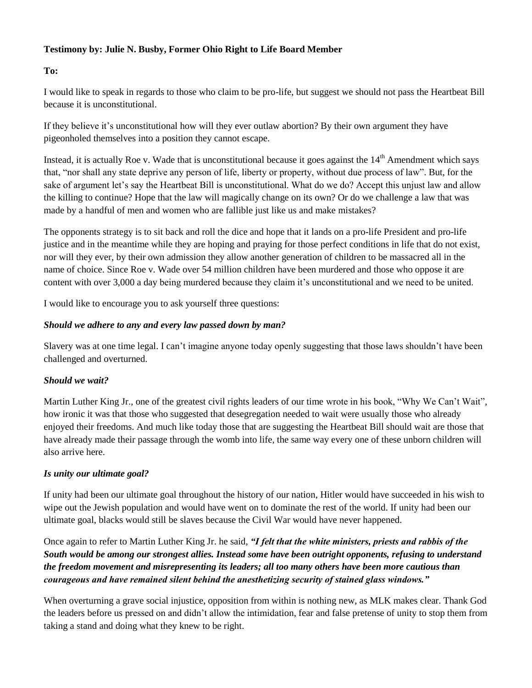## **Testimony by: Julie N. Busby, Former Ohio Right to Life Board Member**

# **To:**

I would like to speak in regards to those who claim to be pro-life, but suggest we should not pass the Heartbeat Bill because it is unconstitutional.

If they believe it's unconstitutional how will they ever outlaw abortion? By their own argument they have pigeonholed themselves into a position they cannot escape.

Instead, it is actually Roe v. Wade that is unconstitutional because it goes against the  $14<sup>th</sup>$  Amendment which says that, "nor shall any state deprive any person of life, liberty or property, without due process of law". But, for the sake of argument let's say the Heartbeat Bill is unconstitutional. What do we do? Accept this unjust law and allow the killing to continue? Hope that the law will magically change on its own? Or do we challenge a law that was made by a handful of men and women who are fallible just like us and make mistakes?

The opponents strategy is to sit back and roll the dice and hope that it lands on a pro-life President and pro-life justice and in the meantime while they are hoping and praying for those perfect conditions in life that do not exist, nor will they ever, by their own admission they allow another generation of children to be massacred all in the name of choice. Since Roe v. Wade over 54 million children have been murdered and those who oppose it are content with over 3,000 a day being murdered because they claim it's unconstitutional and we need to be united.

I would like to encourage you to ask yourself three questions:

# *Should we adhere to any and every law passed down by man?*

Slavery was at one time legal. I can't imagine anyone today openly suggesting that those laws shouldn't have been challenged and overturned.

### *Should we wait?*

Martin Luther King Jr., one of the greatest civil rights leaders of our time wrote in his book, "Why We Can't Wait", how ironic it was that those who suggested that desegregation needed to wait were usually those who already enjoyed their freedoms. And much like today those that are suggesting the Heartbeat Bill should wait are those that have already made their passage through the womb into life, the same way every one of these unborn children will also arrive here.

### *Is unity our ultimate goal?*

If unity had been our ultimate goal throughout the history of our nation, Hitler would have succeeded in his wish to wipe out the Jewish population and would have went on to dominate the rest of the world. If unity had been our ultimate goal, blacks would still be slaves because the Civil War would have never happened.

Once again to refer to Martin Luther King Jr. he said, *"I felt that the white ministers, priests and rabbis of the South would be among our strongest allies. Instead some have been outright opponents, refusing to understand the freedom movement and misrepresenting its leaders; all too many others have been more cautious than courageous and have remained silent behind the anesthetizing security of stained glass windows."*

When overturning a grave social injustice, opposition from within is nothing new, as MLK makes clear. Thank God the leaders before us pressed on and didn't allow the intimidation, fear and false pretense of unity to stop them from taking a stand and doing what they knew to be right.